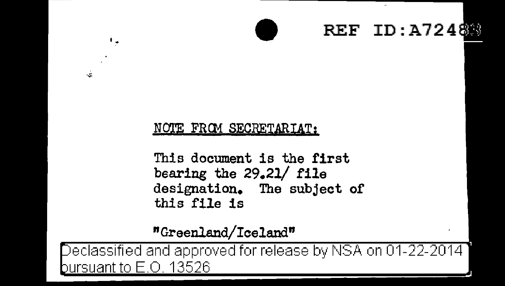## REF ID:A7248

## NOTE FROM SECRETARIAT:

٠.

ż.

This document is the first bearing the 29.21/ file designation. The subject of this file is

## "Greenland/Iceland"

eclassified and approved for release by NSA on 01-22-2014 bursuant to E.O. 13526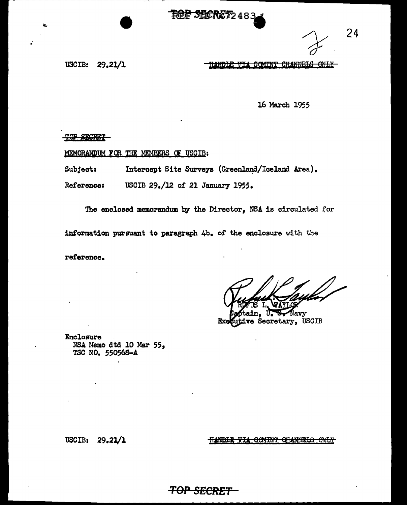**ROF SHORET248** 

USCIB: 29.21/1

<u>HANDLE VIA COMINT CHANNELS ONLY </u>

16 March 1955

24

TOP SEGRET

MEMORANDUM FOR THE MEMBERS OF USCIB:

Intercept Site Surveys (Greenland/Iceland Area). Subject:

Reference: USCIB 29./12 of 21 January 1955.

The enclosed memorandum by the Director, NSA is circulated for

information pursuant to paragraph 4b. of the enclosure with the

reference.

Navy Secretary, USCIB

Enclosure NSA Memo dtd 10 Mar 55, TSC NO. 550568-A

<u> HANDIE VIA COMINT CHANNELS ONLY</u>

USCIB: 29.21/1

**TOP SECRET**